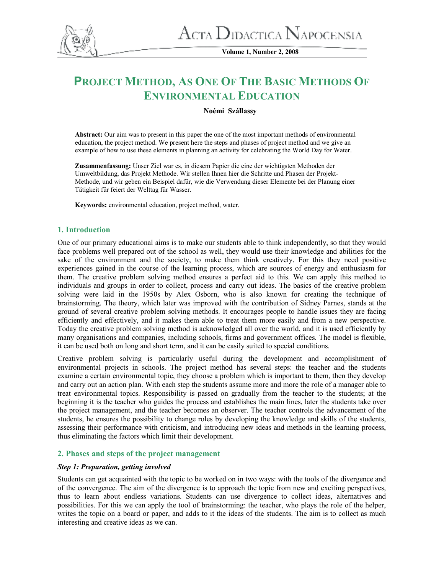

**Volume 1, Number 2, 2008** 

# **PROJECT METHOD, AS ONE OF THE BASIC METHODS O<sup>F</sup> ENVIRONMENTAL EDUCATION**

## **Noémi Szállassy**

**Abstract:** Our aim was to present in this paper the one of the most important methods of environmental education, the project method. We present here the steps and phases of project method and we give an example of how to use these elements in planning an activity for celebrating the World Day for Water.

**Zusammenfassung:** Unser Ziel war es, in diesem Papier die eine der wichtigsten Methoden der Umweltbildung, das Projekt Methode. Wir stellen Ihnen hier die Schritte und Phasen der Projekt-Methode, und wir geben ein Beispiel dafür, wie die Verwendung dieser Elemente bei der Planung einer Tätigkeit für feiert der Welttag für Wasser.

**Keywords:** environmental education, project method, water.

## **1. Introduction**

One of our primary educational aims is to make our students able to think independently, so that they would face problems well prepared out of the school as well, they would use their knowledge and abilities for the sake of the environment and the society, to make them think creatively. For this they need positive experiences gained in the course of the learning process, which are sources of energy and enthusiasm for them. The creative problem solving method ensures a perfect aid to this. We can apply this method to individuals and groups in order to collect, process and carry out ideas. The basics of the creative problem solving were laid in the 1950s by Alex Osborn, who is also known for creating the technique of brainstorming. The theory, which later was improved with the contribution of Sidney Parnes, stands at the ground of several creative problem solving methods. It encourages people to handle issues they are facing efficiently and effectively, and it makes them able to treat them more easily and from a new perspective. Today the creative problem solving method is acknowledged all over the world, and it is used efficiently by many organisations and companies, including schools, firms and government offices. The model is flexible, it can be used both on long and short term, and it can be easily suited to special conditions.

Creative problem solving is particularly useful during the development and accomplishment of environmental projects in schools. The project method has several steps: the teacher and the students examine a certain environmental topic, they choose a problem which is important to them, then they develop and carry out an action plan. With each step the students assume more and more the role of a manager able to treat environmental topics. Responsibility is passed on gradually from the teacher to the students; at the beginning it is the teacher who guides the process and establishes the main lines, later the students take over the project management, and the teacher becomes an observer. The teacher controls the advancement of the students, he ensures the possibility to change roles by developing the knowledge and skills of the students, assessing their performance with criticism, and introducing new ideas and methods in the learning process, thus eliminating the factors which limit their development.

## **2. Phases and steps of the project management**

## *Step 1: Preparation, getting involved*

Students can get acquainted with the topic to be worked on in two ways: with the tools of the divergence and of the convergence. The aim of the divergence is to approach the topic from new and exciting perspectives, thus to learn about endless variations. Students can use divergence to collect ideas, alternatives and possibilities. For this we can apply the tool of brainstorming: the teacher, who plays the role of the helper, writes the topic on a board or paper, and adds to it the ideas of the students. The aim is to collect as much interesting and creative ideas as we can.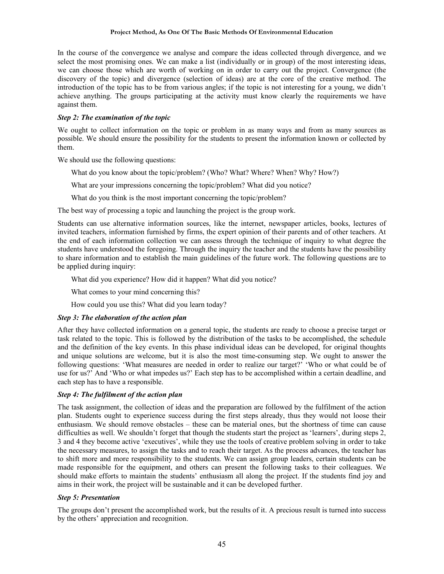#### **Project Method, As One Of The Basic Methods Of Environmental Education**

In the course of the convergence we analyse and compare the ideas collected through divergence, and we select the most promising ones. We can make a list (individually or in group) of the most interesting ideas, we can choose those which are worth of working on in order to carry out the project. Convergence (the discovery of the topic) and divergence (selection of ideas) are at the core of the creative method. The introduction of the topic has to be from various angles; if the topic is not interesting for a young, we didn't achieve anything. The groups participating at the activity must know clearly the requirements we have against them.

#### *Step 2: The examination of the topic*

We ought to collect information on the topic or problem in as many ways and from as many sources as possible. We should ensure the possibility for the students to present the information known or collected by them.

We should use the following questions:

What do you know about the topic/problem? (Who? What? Where? When? Why? How?)

What are your impressions concerning the topic/problem? What did you notice?

What do you think is the most important concerning the topic/problem?

The best way of processing a topic and launching the project is the group work.

Students can use alternative information sources, like the internet, newspaper articles, books, lectures of invited teachers, information furnished by firms, the expert opinion of their parents and of other teachers. At the end of each information collection we can assess through the technique of inquiry to what degree the students have understood the foregoing. Through the inquiry the teacher and the students have the possibility to share information and to establish the main guidelines of the future work. The following questions are to be applied during inquiry:

What did you experience? How did it happen? What did you notice?

What comes to your mind concerning this?

How could you use this? What did you learn today?

## *Step 3: The elaboration of the action plan*

After they have collected information on a general topic, the students are ready to choose a precise target or task related to the topic. This is followed by the distribution of the tasks to be accomplished, the schedule and the definition of the key events. In this phase individual ideas can be developed, for original thoughts and unique solutions are welcome, but it is also the most time-consuming step. We ought to answer the following questions: 'What measures are needed in order to realize our target?' 'Who or what could be of use for us?' And 'Who or what impedes us?' Each step has to be accomplished within a certain deadline, and each step has to have a responsible.

#### *Step 4: The fulfilment of the action plan*

The task assignment, the collection of ideas and the preparation are followed by the fulfilment of the action plan. Students ought to experience success during the first steps already, thus they would not loose their enthusiasm. We should remove obstacles – these can be material ones, but the shortness of time can cause difficulties as well. We shouldn't forget that though the students start the project as 'learners', during steps 2, 3 and 4 they become active 'executives', while they use the tools of creative problem solving in order to take the necessary measures, to assign the tasks and to reach their target. As the process advances, the teacher has to shift more and more responsibility to the students. We can assign group leaders, certain students can be made responsible for the equipment, and others can present the following tasks to their colleagues. We should make efforts to maintain the students' enthusiasm all along the project. If the students find joy and aims in their work, the project will be sustainable and it can be developed further.

#### *Step 5: Presentation*

The groups don't present the accomplished work, but the results of it. A precious result is turned into success by the others' appreciation and recognition.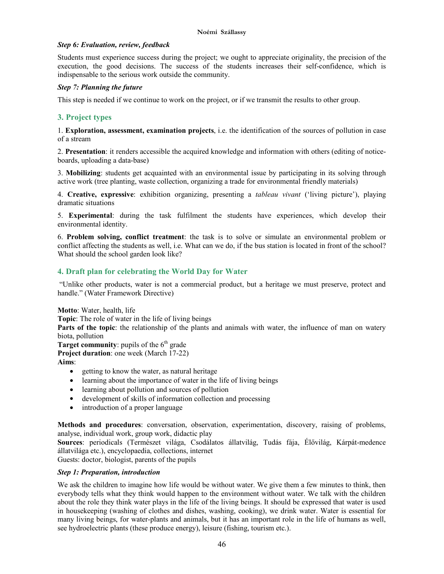#### *Step 6: Evaluation, review, feedback*

Students must experience success during the project; we ought to appreciate originality, the precision of the execution, the good decisions. The success of the students increases their self-confidence, which is indispensable to the serious work outside the community.

#### *Step 7: Planning the future*

This step is needed if we continue to work on the project, or if we transmit the results to other group.

## **3. Project types**

1. **Exploration, assessment, examination projects**, i.e. the identification of the sources of pollution in case of a stream

2. **Presentation**: it renders accessible the acquired knowledge and information with others (editing of noticeboards, uploading a data-base)

3. **Mobilizing**: students get acquainted with an environmental issue by participating in its solving through active work (tree planting, waste collection, organizing a trade for environmental friendly materials)

4. **Creative, expressive**: exhibition organizing, presenting a *tableau vivant* ('living picture'), playing dramatic situations

5. **Experimental**: during the task fulfilment the students have experiences, which develop their environmental identity.

6. **Problem solving, conflict treatment**: the task is to solve or simulate an environmental problem or conflict affecting the students as well, i.e. What can we do, if the bus station is located in front of the school? What should the school garden look like?

## **4. Draft plan for celebrating the World Day for Water**

 "Unlike other products, water is not a commercial product, but a heritage we must preserve, protect and handle." (Water Framework Directive)

**Motto**: Water, health, life

**Topic**: The role of water in the life of living beings

**Parts of the topic**: the relationship of the plants and animals with water, the influence of man on watery biota, pollution

**Target community**: pupils of the  $6<sup>th</sup>$  grade

**Project duration**: one week (March 17-22)

**Aims**:

- getting to know the water, as natural heritage
- learning about the importance of water in the life of living beings
- learning about pollution and sources of pollution
- development of skills of information collection and processing
- introduction of a proper language

**Methods and procedures**: conversation, observation, experimentation, discovery, raising of problems, analyse, individual work, group work, didactic play

**Sources**: periodicals (Természet világa, Csodálatos állatvilág, Tudás fája, Élővilág, Kárpát-medence állatvilága etc.), encyclopaedia, collections, internet

Guests: doctor, biologist, parents of the pupils

#### *Step 1: Preparation, introduction*

We ask the children to imagine how life would be without water. We give them a few minutes to think, then everybody tells what they think would happen to the environment without water. We talk with the children about the role they think water plays in the life of the living beings. It should be expressed that water is used in housekeeping (washing of clothes and dishes, washing, cooking), we drink water. Water is essential for many living beings, for water-plants and animals, but it has an important role in the life of humans as well, see hydroelectric plants (these produce energy), leisure (fishing, tourism etc.).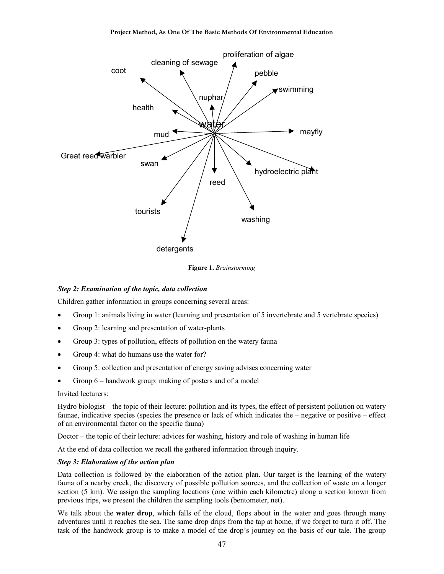

**Figure 1.** *Brainstorming*

#### *Step 2: Examination of the topic, data collection*

Children gather information in groups concerning several areas:

- Group 1: animals living in water (learning and presentation of 5 invertebrate and 5 vertebrate species)
- Group 2: learning and presentation of water-plants
- Group 3: types of pollution, effects of pollution on the watery fauna
- Group 4: what do humans use the water for?
- Group 5: collection and presentation of energy saving advises concerning water
- Group 6 handwork group: making of posters and of a model

#### Invited lecturers:

Hydro biologist – the topic of their lecture: pollution and its types, the effect of persistent pollution on watery faunae, indicative species (species the presence or lack of which indicates the – negative or positive – effect of an environmental factor on the specific fauna)

Doctor – the topic of their lecture: advices for washing, history and role of washing in human life

At the end of data collection we recall the gathered information through inquiry.

#### *Step 3: Elaboration of the action plan*

Data collection is followed by the elaboration of the action plan. Our target is the learning of the watery fauna of a nearby creek, the discovery of possible pollution sources, and the collection of waste on a longer section (5 km). We assign the sampling locations (one within each kilometre) along a section known from previous trips, we present the children the sampling tools (bentometer, net).

We talk about the **water drop**, which falls of the cloud, flops about in the water and goes through many adventures until it reaches the sea. The same drop drips from the tap at home, if we forget to turn it off. The task of the handwork group is to make a model of the drop's journey on the basis of our tale. The group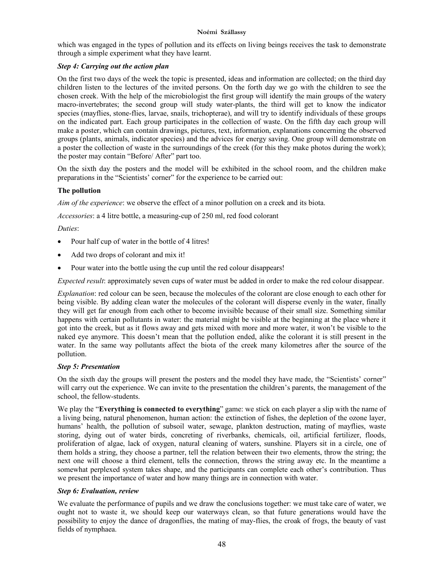#### **Noémi Szállassy**

which was engaged in the types of pollution and its effects on living beings receives the task to demonstrate through a simple experiment what they have learnt.

## *Step 4: Carrying out the action plan*

On the first two days of the week the topic is presented, ideas and information are collected; on the third day children listen to the lectures of the invited persons. On the forth day we go with the children to see the chosen creek. With the help of the microbiologist the first group will identify the main groups of the watery macro-invertebrates; the second group will study water-plants, the third will get to know the indicator species (mayflies, stone-flies, larvae, snails, trichopterae), and will try to identify individuals of these groups on the indicated part. Each group participates in the collection of waste. On the fifth day each group will make a poster, which can contain drawings, pictures, text, information, explanations concerning the observed groups (plants, animals, indicator species) and the advices for energy saving. One group will demonstrate on a poster the collection of waste in the surroundings of the creek (for this they make photos during the work); the poster may contain "Before/ After" part too.

On the sixth day the posters and the model will be exhibited in the school room, and the children make preparations in the "Scientists' corner" for the experience to be carried out:

## **The pollution**

*Aim of the experience*: we observe the effect of a minor pollution on a creek and its biota.

*Accessories*: a 4 litre bottle, a measuring-cup of 250 ml, red food colorant

## *Duties*:

- Pour half cup of water in the bottle of 4 litres!
- Add two drops of colorant and mix it!
- Pour water into the bottle using the cup until the red colour disappears!

*Expected result*: approximately seven cups of water must be added in order to make the red colour disappear.

*Explanation*: red colour can be seen, because the molecules of the colorant are close enough to each other for being visible. By adding clean water the molecules of the colorant will disperse evenly in the water, finally they will get far enough from each other to become invisible because of their small size. Something similar happens with certain pollutants in water: the material might be visible at the beginning at the place where it got into the creek, but as it flows away and gets mixed with more and more water, it won't be visible to the naked eye anymore. This doesn't mean that the pollution ended, alike the colorant it is still present in the water. In the same way pollutants affect the biota of the creek many kilometres after the source of the pollution.

#### *Step 5: Presentation*

On the sixth day the groups will present the posters and the model they have made, the "Scientists' corner" will carry out the experience. We can invite to the presentation the children's parents, the management of the school, the fellow-students.

We play the "**Everything is connected to everything**" game: we stick on each player a slip with the name of a living being, natural phenomenon, human action: the extinction of fishes, the depletion of the ozone layer, humans' health, the pollution of subsoil water, sewage, plankton destruction, mating of mayflies, waste storing, dying out of water birds, concreting of riverbanks, chemicals, oil, artificial fertilizer, floods, proliferation of algae, lack of oxygen, natural cleaning of waters, sunshine. Players sit in a circle, one of them holds a string, they choose a partner, tell the relation between their two elements, throw the string; the next one will choose a third element, tells the connection, throws the string away etc. In the meantime a somewhat perplexed system takes shape, and the participants can complete each other's contribution. Thus we present the importance of water and how many things are in connection with water.

## *Step 6: Evaluation, review*

We evaluate the performance of pupils and we draw the conclusions together: we must take care of water, we ought not to waste it, we should keep our waterways clean, so that future generations would have the possibility to enjoy the dance of dragonflies, the mating of may-flies, the croak of frogs, the beauty of vast fields of nymphaea.